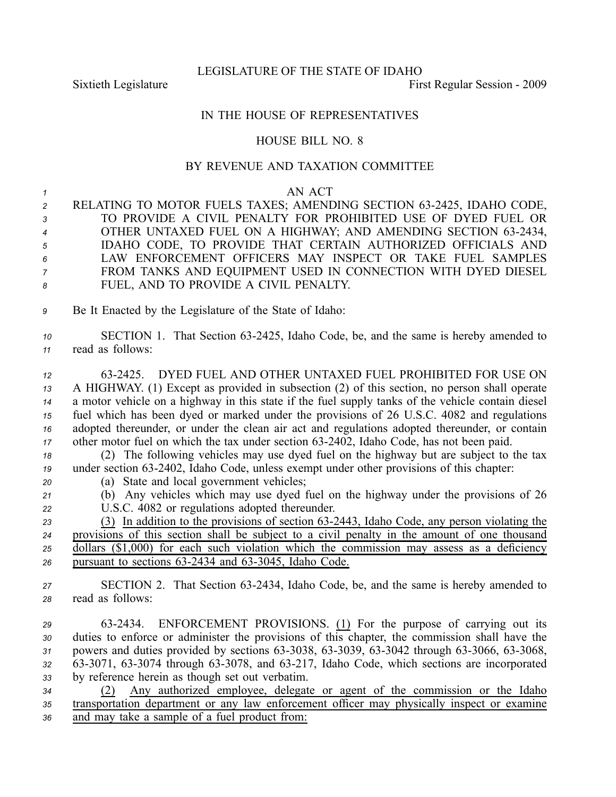LEGISLATURE OF THE STATE OF IDAHO

Sixtieth Legislature **First** Regular Session - 2009

## IN THE HOUSE OF REPRESENTATIVES

## HOUSE BILL NO. 8

## BY REVENUE AND TAXATION COMMITTEE

*1* AN ACT 2 RELATING TO MOTOR FUELS TAXES; AMENDING SECTION 63-2425, IDAHO CODE, TO PROVIDE A CIVIL PENALTY FOR PROHIBITED USE OF DYED FUEL OR 4 OTHER UNTAXED FUEL ON A HIGHWAY; AND AMENDING SECTION 63-2434, IDAHO CODE, TO PROVIDE THAT CERTAIN AUTHORIZED OFFICIALS AND LAW ENFORCEMENT OFFICERS MAY INSPECT OR TAKE FUEL SAMPLES FROM TANKS AND EQUIPMENT USED IN CONNECTION WITH DYED DIESEL FUEL, AND TO PROVIDE A CIVIL PENALTY. Be It Enacted by the Legislature of the State of Idaho: 10 SECTION 1. That Section 63-2425, Idaho Code, be, and the same is hereby amended to read as follows: 632425. DYED FUEL AND OTHER UNTAXED FUEL PROHIBITED FOR USE ON A HIGHWAY. (1) Except as provided in subsection (2) of this section, no person shall operate <sup>a</sup> motor vehicle on <sup>a</sup> highway in this state if the fuel supply tanks of the vehicle contain diesel fuel which has been dyed or marked under the provisions of 26 U.S.C. 4082 and regulations adopted thereunder, or under the clean air act and regulations adopted thereunder, or contain other motor fuel on which the tax under section 63-2402, Idaho Code, has not been paid. (2) The following vehicles may use dyed fuel on the highway but are subject to the tax 19 under section 63-2402, Idaho Code, unless exempt under other provisions of this chapter: (a) State and local governmen<sup>t</sup> vehicles; (b) Any vehicles which may use dyed fuel on the highway under the provisions of 26 U.S.C. 4082 or regulations adopted thereunder. (3) In addition to the provisions of section 632443, Idaho Code, any person violating the provisions of this section shall be subject to <sup>a</sup> civil penalty in the amount of one thousand dollars (\$1,000) for each such violation which the commission may assess as <sup>a</sup> deficiency 26 pursuant to sections 63-2434 and 63-3045, Idaho Code. 27 SECTION 2. That Section 63-2434, Idaho Code, be, and the same is hereby amended to read as follows: 632434. ENFORCEMENT PROVISIONS. (1) For the purpose of carrying out its duties to enforce or administer the provisions of this chapter, the commission shall have the 31 powers and duties provided by sections 63-3038, 63-3039, 63-3042 through 63-3066, 63-3068, 32 63-3071, 63-3074 through 63-3078, and 63-217, Idaho Code, which sections are incorporated by reference herein as though set out verbatim.

*<sup>34</sup>* (2) Any authorized employee, delegate or agen<sup>t</sup> of the commission or the Idaho *<sup>35</sup>* transportation department or any law enforcement officer may physically inspect or examine *<sup>36</sup>* and may take <sup>a</sup> sample of <sup>a</sup> fuel product from: